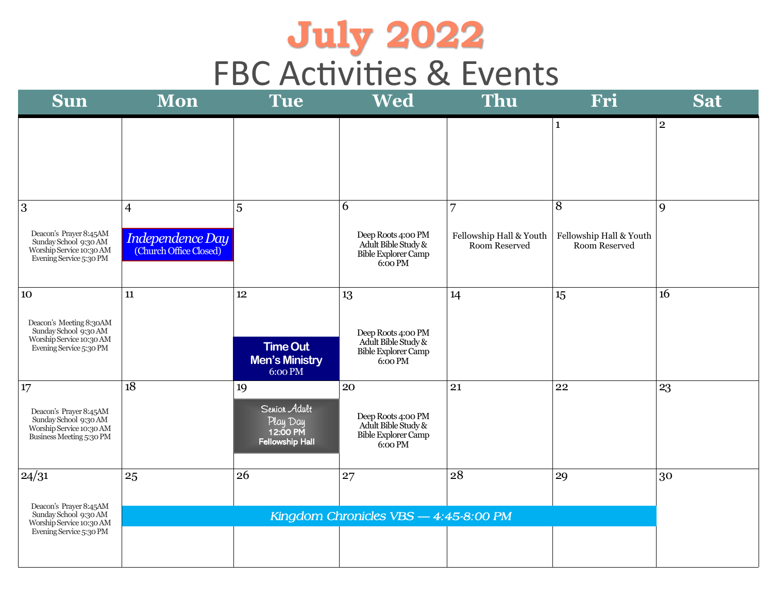## **July 2022** FBC Activities & Events

| <b>Sun</b>                                                                                                           | <b>Mon</b>                                                          | Tue                                                                  | <b>Wed</b>                                                                                 | Thu                                           | Fri                                                        | <b>Sat</b>   |
|----------------------------------------------------------------------------------------------------------------------|---------------------------------------------------------------------|----------------------------------------------------------------------|--------------------------------------------------------------------------------------------|-----------------------------------------------|------------------------------------------------------------|--------------|
|                                                                                                                      |                                                                     |                                                                      |                                                                                            |                                               | $\mathbf{1}$                                               | $\mathbf{2}$ |
| $\sqrt{3}$<br>Deacon's Prayer 8:45AM<br>Sunday School 9:30 AM<br>Worship Service 10:30 AM<br>Evening Service 5:30 PM | $\overline{4}$<br><b>Independence Day</b><br>(Church Office Closed) | 5                                                                    | 6<br>Deep Roots 4:00 PM<br>Adult Bible Study &<br>Bible Explorer Camp<br>6:00 PM           | 7<br>Fellowship Hall & Youth<br>Room Reserved | $\overline{8}$<br>Fellowship Hall & Youth<br>Room Reserved | 9            |
| 10<br>Deacon's Meeting 8:30AM<br>Sunday School 9:30 AM<br>Worship Service 10:30 AM<br>Evening Service 5:30 PM        | 11                                                                  | 12<br><b>Time Out</b><br><b>Men's Ministry</b><br>6:00 PM            | 13<br>Deep Roots 4:00 PM<br>Adult Bible Study &<br><b>Bible Explorer Camp</b><br>$6:00$ PM | 14                                            | 15                                                         | 16           |
| 17<br>Deacon's Prayer 8:45AM<br>Sunday School 9:30 AM<br>Worship Service 10:30 AM<br>Business Meeting 5:30 PM        | $\overline{18}$                                                     | 19<br>Senior Adult<br>Play Day<br>12:00 PM<br><b>Fellowship Hall</b> | 20<br>Deep Roots 4:00 PM<br>Adult Bible Study &<br><b>Bible Explorer Camp</b><br>$6:00$ PM | 21                                            | 22                                                         | 23           |
| 24/31<br>Deacon's Prayer 8:45AM<br>Sunday School 9:30 AM<br>Worship Service 10:30 AM<br>Evening Service 5:30 PM      | 25                                                                  | 26                                                                   | 27<br>Kingdom Chronicles VBS - 4:45-8:00 PM                                                | 28                                            | 29                                                         | 30           |